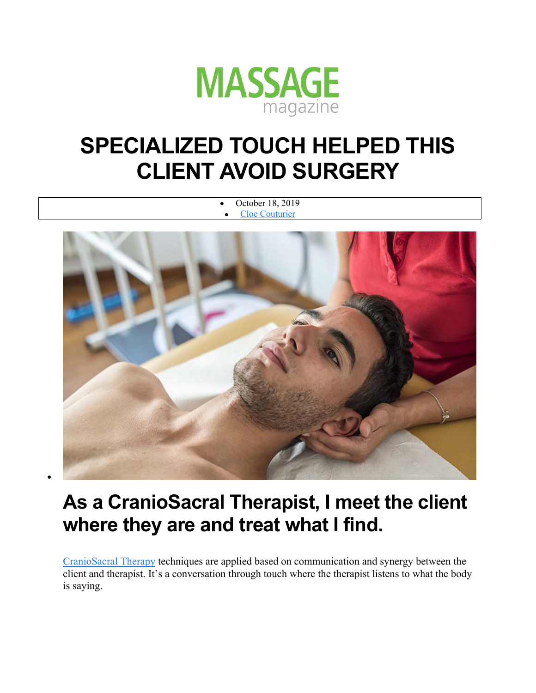

## **SPECIALIZED TOUCH HELPED THIS CLIENT AVOID SURGERY**

 October 18, 2019 Cloe Couturier

## **As a CranioSacral Therapist, I meet the client where they are and treat what I find.**

 $\bullet$ 

CranioSacral Therapy techniques are applied based on communication and synergy between the client and therapist. It's a conversation through touch where the therapist listens to what the body is saying.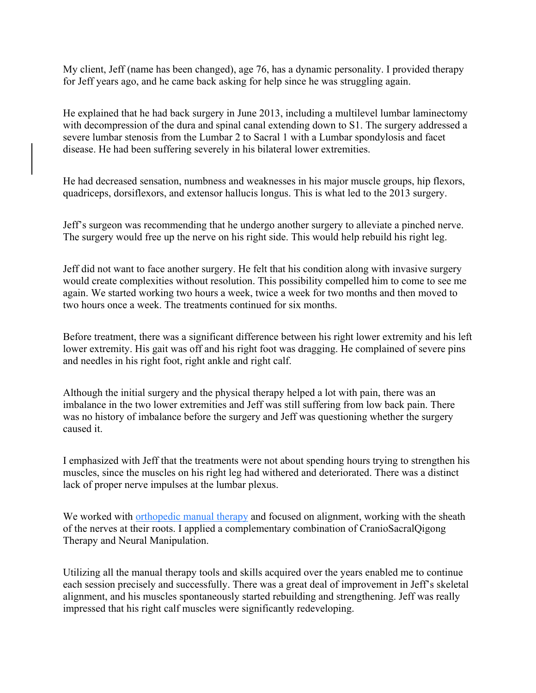My client, Jeff (name has been changed), age 76, has a dynamic personality. I provided therapy for Jeff years ago, and he came back asking for help since he was struggling again.

He explained that he had back surgery in June 2013, including a multilevel lumbar laminectomy with decompression of the dura and spinal canal extending down to S1. The surgery addressed a severe lumbar stenosis from the Lumbar 2 to Sacral 1 with a Lumbar spondylosis and facet disease. He had been suffering severely in his bilateral lower extremities.

He had decreased sensation, numbness and weaknesses in his major muscle groups, hip flexors, quadriceps, dorsiflexors, and extensor hallucis longus. This is what led to the 2013 surgery.

Jeff's surgeon was recommending that he undergo another surgery to alleviate a pinched nerve. The surgery would free up the nerve on his right side. This would help rebuild his right leg.

Jeff did not want to face another surgery. He felt that his condition along with invasive surgery would create complexities without resolution. This possibility compelled him to come to see me again. We started working two hours a week, twice a week for two months and then moved to two hours once a week. The treatments continued for six months.

Before treatment, there was a significant difference between his right lower extremity and his left lower extremity. His gait was off and his right foot was dragging. He complained of severe pins and needles in his right foot, right ankle and right calf.

Although the initial surgery and the physical therapy helped a lot with pain, there was an imbalance in the two lower extremities and Jeff was still suffering from low back pain. There was no history of imbalance before the surgery and Jeff was questioning whether the surgery caused it.

I emphasized with Jeff that the treatments were not about spending hours trying to strengthen his muscles, since the muscles on his right leg had withered and deteriorated. There was a distinct lack of proper nerve impulses at the lumbar plexus.

We worked with orthopedic manual therapy and focused on alignment, working with the sheath of the nerves at their roots. I applied a complementary combination of CranioSacralQigong Therapy and Neural Manipulation.

Utilizing all the manual therapy tools and skills acquired over the years enabled me to continue each session precisely and successfully. There was a great deal of improvement in Jeff's skeletal alignment, and his muscles spontaneously started rebuilding and strengthening. Jeff was really impressed that his right calf muscles were significantly redeveloping.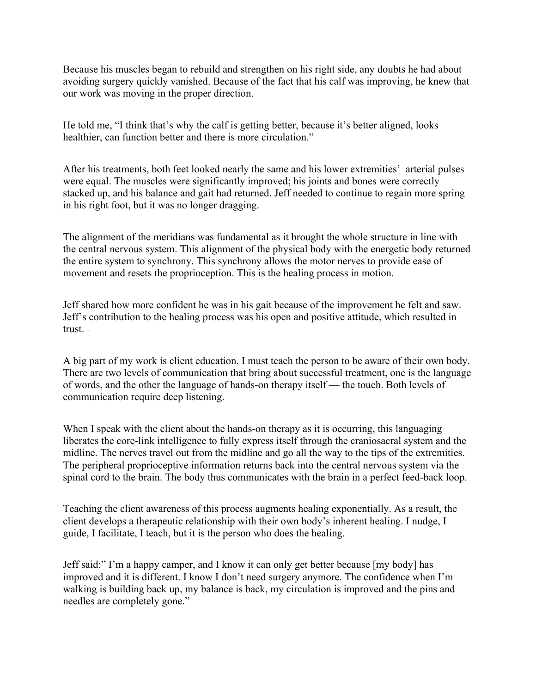Because his muscles began to rebuild and strengthen on his right side, any doubts he had about avoiding surgery quickly vanished. Because of the fact that his calf was improving, he knew that our work was moving in the proper direction.

He told me, "I think that's why the calf is getting better, because it's better aligned, looks healthier, can function better and there is more circulation."

After his treatments, both feet looked nearly the same and his lower extremities' arterial pulses were equal. The muscles were significantly improved; his joints and bones were correctly stacked up, and his balance and gait had returned. Jeff needed to continue to regain more spring in his right foot, but it was no longer dragging.

The alignment of the meridians was fundamental as it brought the whole structure in line with the central nervous system. This alignment of the physical body with the energetic body returned the entire system to synchrony. This synchrony allows the motor nerves to provide ease of movement and resets the proprioception. This is the healing process in motion.

Jeff shared how more confident he was in his gait because of the improvement he felt and saw. Jeff's contribution to the healing process was his open and positive attitude, which resulted in trust.

A big part of my work is client education. I must teach the person to be aware of their own body. There are two levels of communication that bring about successful treatment, one is the language of words, and the other the language of hands-on therapy itself — the touch. Both levels of communication require deep listening.

When I speak with the client about the hands-on therapy as it is occurring, this languaging liberates the core-link intelligence to fully express itself through the craniosacral system and the midline. The nerves travel out from the midline and go all the way to the tips of the extremities. The peripheral proprioceptive information returns back into the central nervous system via the spinal cord to the brain. The body thus communicates with the brain in a perfect feed-back loop.

Teaching the client awareness of this process augments healing exponentially. As a result, the client develops a therapeutic relationship with their own body's inherent healing. I nudge, I guide, I facilitate, I teach, but it is the person who does the healing.

Jeff said:" I'm a happy camper, and I know it can only get better because [my body] has improved and it is different. I know I don't need surgery anymore. The confidence when I'm walking is building back up, my balance is back, my circulation is improved and the pins and needles are completely gone."